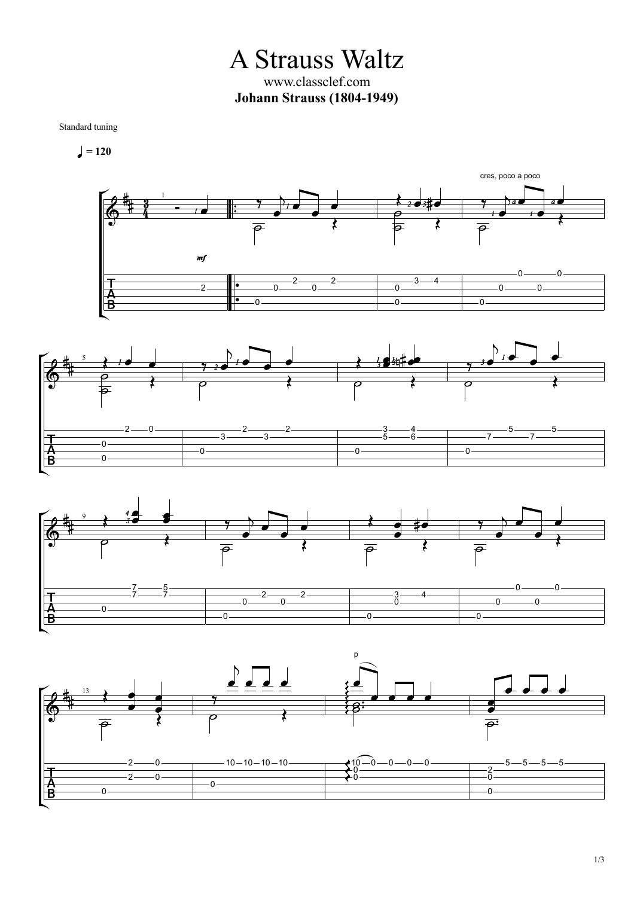A Strauss Waltz www.classclef.com **Johann Strauss (1804-1949)**

Standard tuning

 $= 120$ 







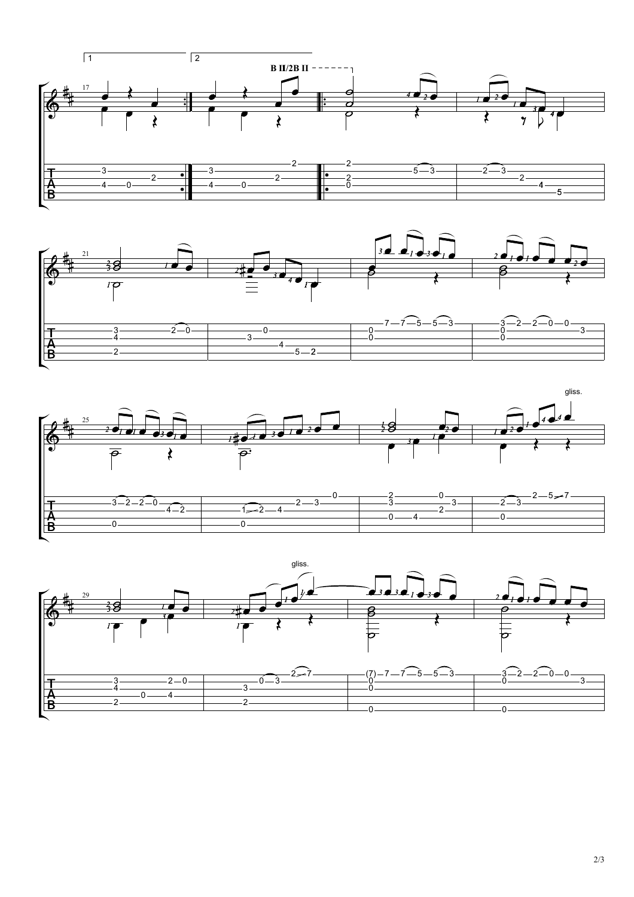